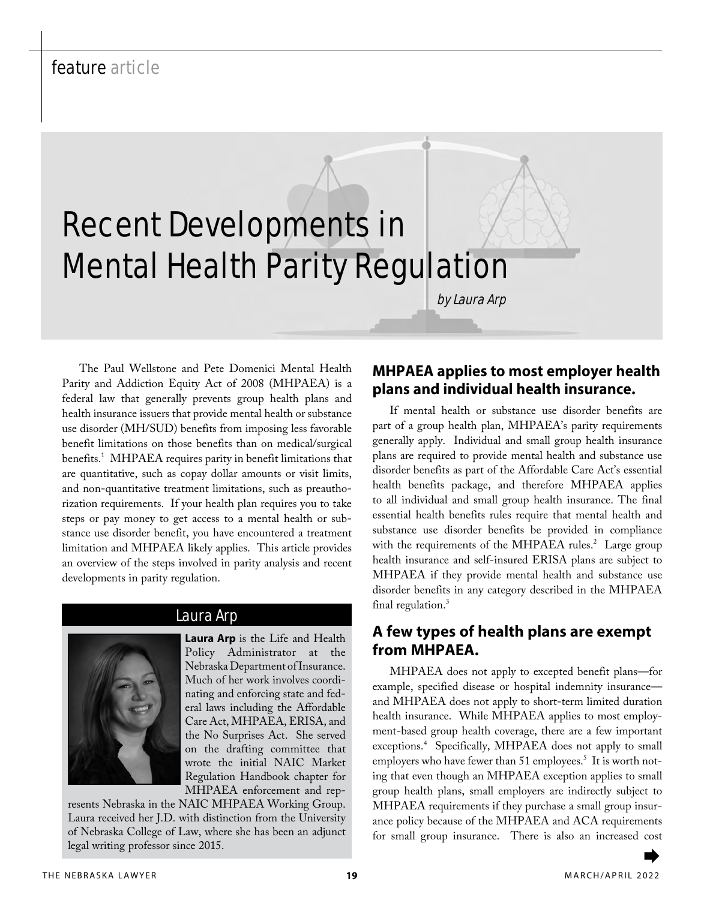# Recent Developments in Mental Health Parity Regulation

The Paul Wellstone and Pete Domenici Mental Health Parity and Addiction Equity Act of 2008 (MHPAEA) is a federal law that generally prevents group health plans and health insurance issuers that provide mental health or substance use disorder (MH/SUD) benefits from imposing less favorable benefit limitations on those benefits than on medical/surgical benefits.<sup>1</sup> MHPAEA requires parity in benefit limitations that are quantitative, such as copay dollar amounts or visit limits, and non-quantitative treatment limitations, such as preauthorization requirements. If your health plan requires you to take steps or pay money to get access to a mental health or substance use disorder benefit, you have encountered a treatment limitation and MHPAEA likely applies. This article provides an overview of the steps involved in parity analysis and recent developments in parity regulation.



#### Laura Arp

**Laura Arp** is the Life and Health Policy Administrator at the Nebraska Department of Insurance. Much of her work involves coordinating and enforcing state and federal laws including the Affordable Care Act, MHPAEA, ERISA, and the No Surprises Act. She served on the drafting committee that wrote the initial NAIC Market Regulation Handbook chapter for MHPAEA enforcement and rep-

resents Nebraska in the NAIC MHPAEA Working Group. Laura received her J.D. with distinction from the University of Nebraska College of Law, where she has been an adjunct legal writing professor since 2015.

# **MHPAEA applies to most employer health plans and individual health insurance.**

by Laura Arp

If mental health or substance use disorder benefits are part of a group health plan, MHPAEA's parity requirements generally apply. Individual and small group health insurance plans are required to provide mental health and substance use disorder benefits as part of the Affordable Care Act's essential health benefits package, and therefore MHPAEA applies to all individual and small group health insurance. The final essential health benefits rules require that mental health and substance use disorder benefits be provided in compliance with the requirements of the MHPAEA rules.<sup>2</sup> Large group health insurance and self-insured ERISA plans are subject to MHPAEA if they provide mental health and substance use disorder benefits in any category described in the MHPAEA final regulation.<sup>3</sup>

#### **A few types of health plans are exempt from MHPAEA.**

MHPAEA does not apply to excepted benefit plans—for example, specified disease or hospital indemnity insurance and MHPAEA does not apply to short-term limited duration health insurance. While MHPAEA applies to most employment-based group health coverage, there are a few important exceptions.<sup>4</sup> Specifically, MHPAEA does not apply to small employers who have fewer than 51 employees.<sup>5</sup> It is worth noting that even though an MHPAEA exception applies to small group health plans, small employers are indirectly subject to MHPAEA requirements if they purchase a small group insurance policy because of the MHPAEA and ACA requirements for small group insurance. There is also an increased cost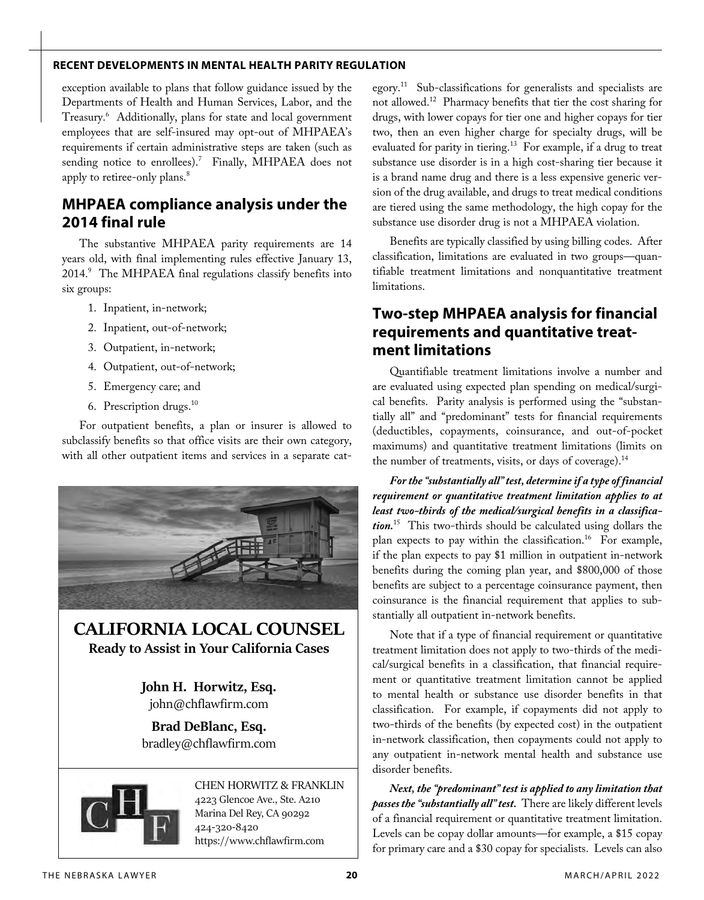exception available to plans that follow guidance issued by the Departments of Health and Human Services, Labor, and the Treasury.6 Additionally, plans for state and local government employees that are self-insured may opt-out of MHPAEA's requirements if certain administrative steps are taken (such as sending notice to enrollees).<sup>7</sup> Finally, MHPAEA does not apply to retiree-only plans.<sup>8</sup>

## **MHPAEA compliance analysis under the 2014 final rule**

The substantive MHPAEA parity requirements are 14 years old, with final implementing rules effective January 13, 2014.<sup>9</sup> The MHPAEA final regulations classify benefits into six groups:

- 1. Inpatient, in-network;
- 2. Inpatient, out-of-network;
- 3. Outpatient, in-network;
- 4. Outpatient, out-of-network;
- 5. Emergency care; and
- 6. Prescription drugs.<sup>10</sup>

For outpatient benefits, a plan or insurer is allowed to subclassify benefits so that office visits are their own category, with all other outpatient items and services in a separate cat-



# **CALIFORNIA LOCAL COUNSEL Ready to Assist in Your California Cases**

**John H. Horwitz, Esq.** john@chflawfirm.com

**Brad DeBlanc, Esq.** bradley@chflawfirm.com



CHEN HORWITZ & FRANKLIN 4223 Glencoe Ave., Ste. A210 Marina Del Rey, CA 90292 424-320-8420 https://www.chflawfirm.com

egory.11 Sub-classifications for generalists and specialists are not allowed.12 Pharmacy benefits that tier the cost sharing for drugs, with lower copays for tier one and higher copays for tier two, then an even higher charge for specialty drugs, will be evaluated for parity in tiering.<sup>13</sup> For example, if a drug to treat substance use disorder is in a high cost-sharing tier because it is a brand name drug and there is a less expensive generic version of the drug available, and drugs to treat medical conditions are tiered using the same methodology, the high copay for the substance use disorder drug is not a MHPAEA violation.

Benefits are typically classified by using billing codes. After classification, limitations are evaluated in two groups—quantifiable treatment limitations and nonquantitative treatment limitations.

# **Two-step MHPAEA analysis for financial requirements and quantitative treatment limitations**

Quantifiable treatment limitations involve a number and are evaluated using expected plan spending on medical/surgical benefits. Parity analysis is performed using the "substantially all" and "predominant" tests for financial requirements (deductibles, copayments, coinsurance, and out-of-pocket maximums) and quantitative treatment limitations (limits on the number of treatments, visits, or days of coverage).<sup>14</sup>

*For the "substantially all" test, determine if a type of financial requirement or quantitative treatment limitation applies to at least two-thirds of the medical/surgical benefits in a classification.*15 This two-thirds should be calculated using dollars the plan expects to pay within the classification.<sup>16</sup> For example, if the plan expects to pay \$1 million in outpatient in-network benefits during the coming plan year, and \$800,000 of those benefits are subject to a percentage coinsurance payment, then coinsurance is the financial requirement that applies to substantially all outpatient in-network benefits.

Note that if a type of financial requirement or quantitative treatment limitation does not apply to two-thirds of the medical/surgical benefits in a classification, that financial requirement or quantitative treatment limitation cannot be applied to mental health or substance use disorder benefits in that classification. For example, if copayments did not apply to two-thirds of the benefits (by expected cost) in the outpatient in-network classification, then copayments could not apply to any outpatient in-network mental health and substance use disorder benefits.

*Next, the "predominant" test is applied to any limitation that passes the "substantially all" test.* There are likely different levels of a financial requirement or quantitative treatment limitation. Levels can be copay dollar amounts—for example, a \$15 copay for primary care and a \$30 copay for specialists. Levels can also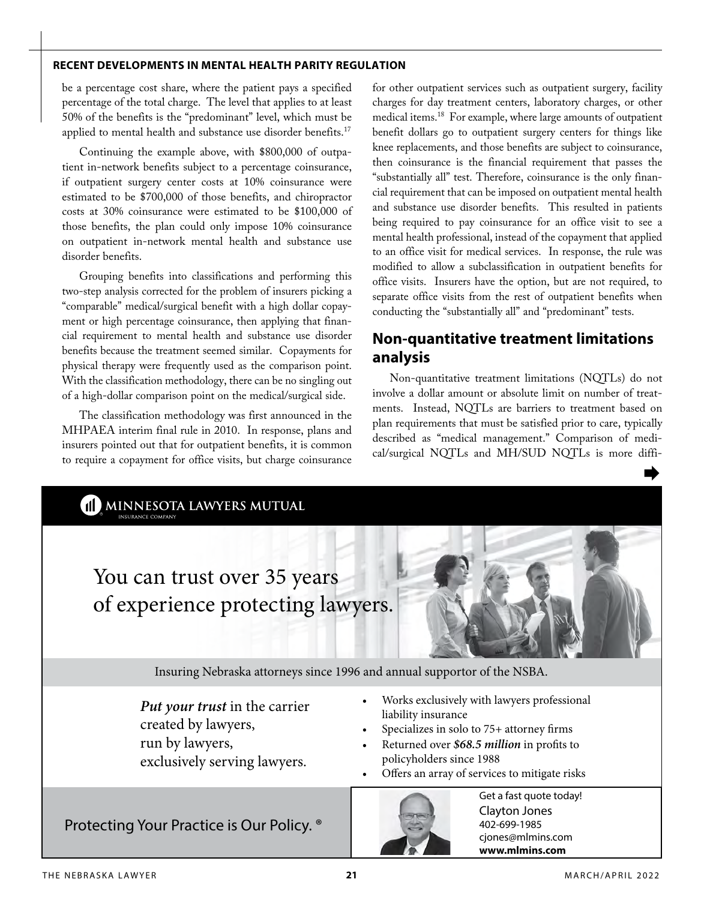be a percentage cost share, where the patient pays a specified percentage of the total charge. The level that applies to at least 50% of the benefits is the "predominant" level, which must be applied to mental health and substance use disorder benefits.<sup>17</sup>

Continuing the example above, with \$800,000 of outpatient in-network benefits subject to a percentage coinsurance, if outpatient surgery center costs at 10% coinsurance were estimated to be \$700,000 of those benefits, and chiropractor costs at 30% coinsurance were estimated to be \$100,000 of those benefits, the plan could only impose 10% coinsurance on outpatient in-network mental health and substance use disorder benefits.

Grouping benefits into classifications and performing this two-step analysis corrected for the problem of insurers picking a "comparable" medical/surgical benefit with a high dollar copayment or high percentage coinsurance, then applying that financial requirement to mental health and substance use disorder benefits because the treatment seemed similar. Copayments for physical therapy were frequently used as the comparison point. With the classification methodology, there can be no singling out of a high-dollar comparison point on the medical/surgical side.

The classification methodology was first announced in the MHPAEA interim final rule in 2010. In response, plans and insurers pointed out that for outpatient benefits, it is common to require a copayment for office visits, but charge coinsurance for other outpatient services such as outpatient surgery, facility charges for day treatment centers, laboratory charges, or other medical items.18 For example, where large amounts of outpatient benefit dollars go to outpatient surgery centers for things like knee replacements, and those benefits are subject to coinsurance, then coinsurance is the financial requirement that passes the "substantially all" test. Therefore, coinsurance is the only financial requirement that can be imposed on outpatient mental health and substance use disorder benefits. This resulted in patients being required to pay coinsurance for an office visit to see a mental health professional, instead of the copayment that applied to an office visit for medical services. In response, the rule was modified to allow a subclassification in outpatient benefits for office visits. Insurers have the option, but are not required, to separate office visits from the rest of outpatient benefits when conducting the "substantially all" and "predominant" tests.

# **Non-quantitative treatment limitations analysis**

Non-quantitative treatment limitations (NQTLs) do not involve a dollar amount or absolute limit on number of treatments. Instead, NQTLs are barriers to treatment based on plan requirements that must be satisfied prior to care, typically described as "medical management." Comparison of medical/surgical NQTLs and MH/SUD NQTLs is more diffi-

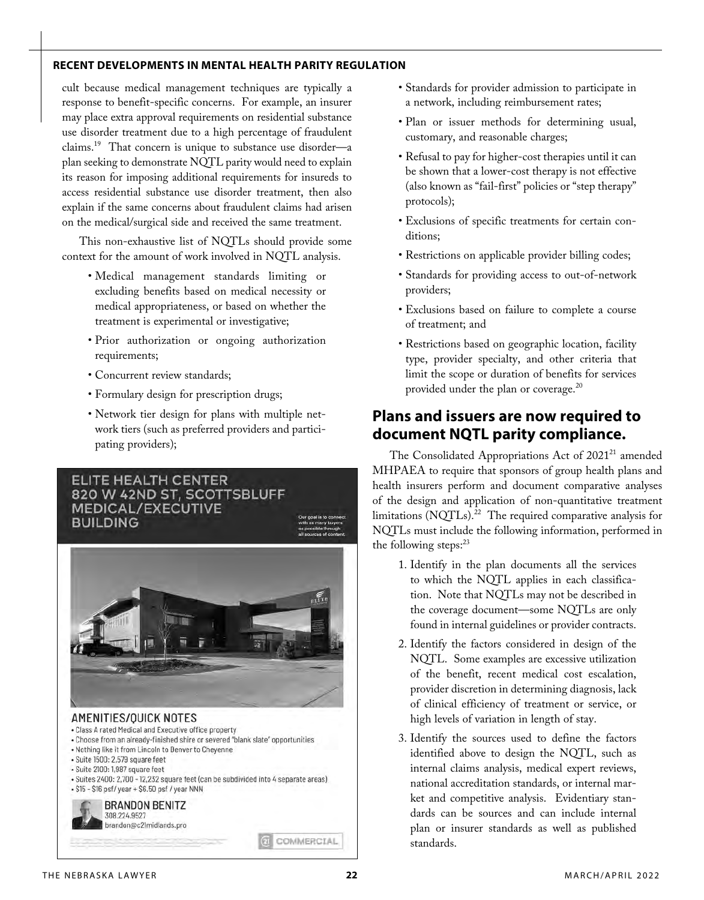cult because medical management techniques are typically a response to benefit-specific concerns. For example, an insurer may place extra approval requirements on residential substance use disorder treatment due to a high percentage of fraudulent claims.19 That concern is unique to substance use disorder—a plan seeking to demonstrate NQTL parity would need to explain its reason for imposing additional requirements for insureds to access residential substance use disorder treatment, then also explain if the same concerns about fraudulent claims had arisen on the medical/surgical side and received the same treatment.

This non-exhaustive list of NQTLs should provide some context for the amount of work involved in NQTL analysis.

- Medical management standards limiting or excluding benefits based on medical necessity or medical appropriateness, or based on whether the treatment is experimental or investigative;
- Prior authorization or ongoing authorization requirements;
- Concurrent review standards;
- Formulary design for prescription drugs;
- Network tier design for plans with multiple network tiers (such as preferred providers and participating providers);

# ELITE HEALTH CENTER 820 W 42ND ST, SCOTTSBLUFF **MEDICAL/EXECUTIVE BUILDING** AMENITIES/OUICK NOTES • Class A rated Medical and Executive office property - Choose from an already-finished shire or severed "blank slate" opportunities . Nothing like it from Lincoln to Denver to Cheyenne · Suite 1500: 2,579 square feet · Suite 2100: 1.987 square feet · Suites 2400: 2,700 - 12,232 square feet (can be subdivided into 4 separate areas) - \$15 - \$16 psf/ year + \$6.50 psf / year NNN BRANDON BENITZ 308.224.9527

- Standards for provider admission to participate in a network, including reimbursement rates;
- Plan or issuer methods for determining usual, customary, and reasonable charges;
- Refusal to pay for higher-cost therapies until it can be shown that a lower-cost therapy is not effective (also known as "fail-first" policies or "step therapy" protocols);
- Exclusions of specific treatments for certain conditions;
- Restrictions on applicable provider billing codes;
- Standards for providing access to out-of-network providers;
- Exclusions based on failure to complete a course of treatment; and
- Restrictions based on geographic location, facility type, provider specialty, and other criteria that limit the scope or duration of benefits for services provided under the plan or coverage.<sup>20</sup>

#### **Plans and issuers are now required to document NQTL parity compliance.**

The Consolidated Appropriations Act of 2021<sup>21</sup> amended MHPAEA to require that sponsors of group health plans and health insurers perform and document comparative analyses of the design and application of non-quantitative treatment limitations (NQTLs).<sup>22</sup> The required comparative analysis for NQTLs must include the following information, performed in the following steps: $23$ 

- 1. Identify in the plan documents all the services to which the NQTL applies in each classification. Note that NQTLs may not be described in the coverage document—some NQTLs are only found in internal guidelines or provider contracts.
- 2. Identify the factors considered in design of the NQTL. Some examples are excessive utilization of the benefit, recent medical cost escalation, provider discretion in determining diagnosis, lack of clinical efficiency of treatment or service, or high levels of variation in length of stay.
- 3. Identify the sources used to define the factors identified above to design the NQTL, such as internal claims analysis, medical expert reviews, national accreditation standards, or internal market and competitive analysis. Evidentiary standards can be sources and can include internal plan or insurer standards as well as published standards.

brandon@c21midlands.pro

COMMERCIAL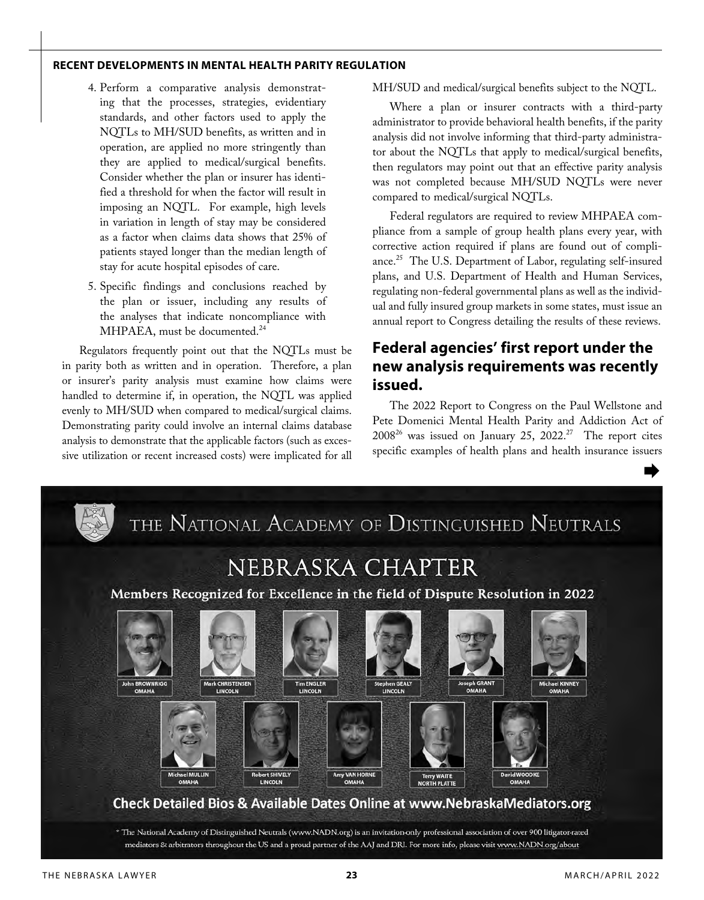- 4. Perform a comparative analysis demonstrating that the processes, strategies, evidentiary standards, and other factors used to apply the NQTLs to MH/SUD benefits, as written and in operation, are applied no more stringently than they are applied to medical/surgical benefits. Consider whether the plan or insurer has identified a threshold for when the factor will result in imposing an NQTL. For example, high levels in variation in length of stay may be considered as a factor when claims data shows that 25% of patients stayed longer than the median length of stay for acute hospital episodes of care.
- 5. Specific findings and conclusions reached by the plan or issuer, including any results of the analyses that indicate noncompliance with MHPAEA, must be documented.<sup>24</sup>

Regulators frequently point out that the NQTLs must be in parity both as written and in operation. Therefore, a plan or insurer's parity analysis must examine how claims were handled to determine if, in operation, the NQTL was applied evenly to MH/SUD when compared to medical/surgical claims. Demonstrating parity could involve an internal claims database analysis to demonstrate that the applicable factors (such as excessive utilization or recent increased costs) were implicated for all MH/SUD and medical/surgical benefits subject to the NQTL.

Where a plan or insurer contracts with a third-party administrator to provide behavioral health benefits, if the parity analysis did not involve informing that third-party administrator about the NQTLs that apply to medical/surgical benefits, then regulators may point out that an effective parity analysis was not completed because MH/SUD NQTLs were never compared to medical/surgical NQTLs.

Federal regulators are required to review MHPAEA compliance from a sample of group health plans every year, with corrective action required if plans are found out of compliance.<sup>25</sup> The U.S. Department of Labor, regulating self-insured plans, and U.S. Department of Health and Human Services, regulating non-federal governmental plans as well as the individual and fully insured group markets in some states, must issue an annual report to Congress detailing the results of these reviews.

# **Federal agencies' first report under the new analysis requirements was recently issued.**

The 2022 Report to Congress on the Paul Wellstone and Pete Domenici Mental Health Parity and Addiction Act of  $2008^{26}$  was issued on January 25, 2022.<sup>27</sup> The report cites specific examples of health plans and health insurance issuers



mediators & arbitrators throughout the US and a proud partner of the AAJ and DRI. For more info, please visit www.NADN.org/about

 $\Rightarrow$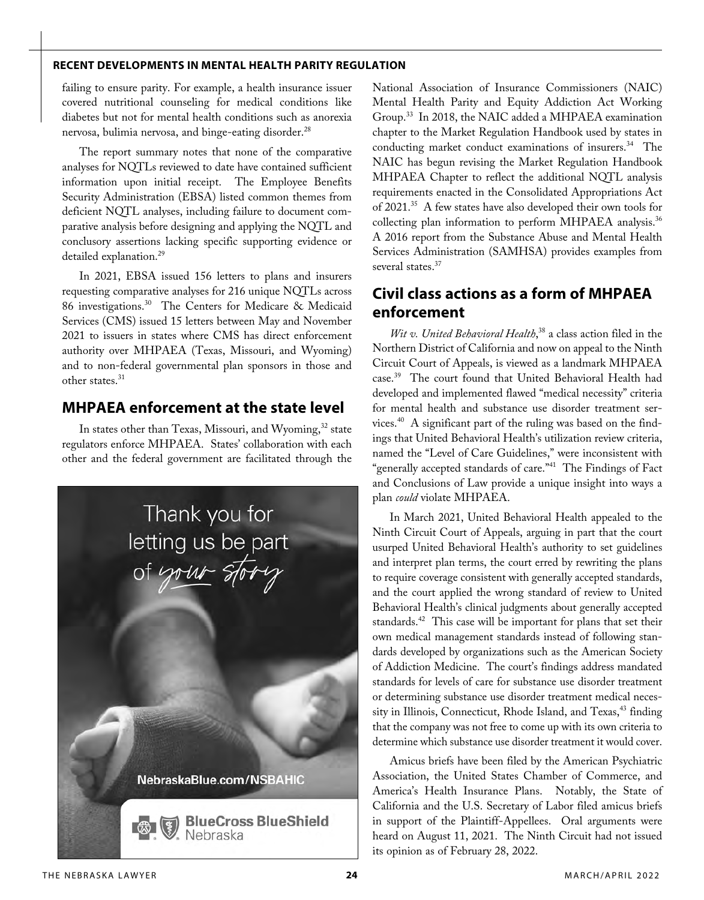failing to ensure parity. For example, a health insurance issuer covered nutritional counseling for medical conditions like diabetes but not for mental health conditions such as anorexia nervosa, bulimia nervosa, and binge-eating disorder.<sup>28</sup>

The report summary notes that none of the comparative analyses for NQTLs reviewed to date have contained sufficient information upon initial receipt. The Employee Benefits Security Administration (EBSA) listed common themes from deficient NQTL analyses, including failure to document comparative analysis before designing and applying the NQTL and conclusory assertions lacking specific supporting evidence or detailed explanation.<sup>29</sup>

In 2021, EBSA issued 156 letters to plans and insurers requesting comparative analyses for 216 unique NQTLs across 86 investigations.30 The Centers for Medicare & Medicaid Services (CMS) issued 15 letters between May and November 2021 to issuers in states where CMS has direct enforcement authority over MHPAEA (Texas, Missouri, and Wyoming) and to non-federal governmental plan sponsors in those and other states.<sup>31</sup>

### **MHPAEA enforcement at the state level**

In states other than Texas, Missouri, and Wyoming,<sup>32</sup> state regulators enforce MHPAEA. States' collaboration with each other and the federal government are facilitated through the



National Association of Insurance Commissioners (NAIC) Mental Health Parity and Equity Addiction Act Working Group.33 In 2018, the NAIC added a MHPAEA examination chapter to the Market Regulation Handbook used by states in conducting market conduct examinations of insurers.<sup>34</sup> The NAIC has begun revising the Market Regulation Handbook MHPAEA Chapter to reflect the additional NQTL analysis requirements enacted in the Consolidated Appropriations Act of 2021.<sup>35</sup> A few states have also developed their own tools for collecting plan information to perform MHPAEA analysis.<sup>36</sup> A 2016 report from the Substance Abuse and Mental Health Services Administration (SAMHSA) provides examples from several states.<sup>37</sup>

#### **Civil class actions as a form of MHPAEA enforcement**

*Wit v. United Behavioral Health*, 38 a class action filed in the Northern District of California and now on appeal to the Ninth Circuit Court of Appeals, is viewed as a landmark MHPAEA case.39 The court found that United Behavioral Health had developed and implemented flawed "medical necessity" criteria for mental health and substance use disorder treatment services.40 A significant part of the ruling was based on the findings that United Behavioral Health's utilization review criteria, named the "Level of Care Guidelines," were inconsistent with "generally accepted standards of care."<sup>41</sup> The Findings of Fact and Conclusions of Law provide a unique insight into ways a plan *could* violate MHPAEA.

In March 2021, United Behavioral Health appealed to the Ninth Circuit Court of Appeals, arguing in part that the court usurped United Behavioral Health's authority to set guidelines and interpret plan terms, the court erred by rewriting the plans to require coverage consistent with generally accepted standards, and the court applied the wrong standard of review to United Behavioral Health's clinical judgments about generally accepted standards. $42$  This case will be important for plans that set their own medical management standards instead of following standards developed by organizations such as the American Society of Addiction Medicine. The court's findings address mandated standards for levels of care for substance use disorder treatment or determining substance use disorder treatment medical necessity in Illinois, Connecticut, Rhode Island, and Texas,<sup>43</sup> finding that the company was not free to come up with its own criteria to determine which substance use disorder treatment it would cover.

Amicus briefs have been filed by the American Psychiatric Association, the United States Chamber of Commerce, and America's Health Insurance Plans. Notably, the State of California and the U.S. Secretary of Labor filed amicus briefs in support of the Plaintiff-Appellees. Oral arguments were heard on August 11, 2021. The Ninth Circuit had not issued its opinion as of February 28, 2022.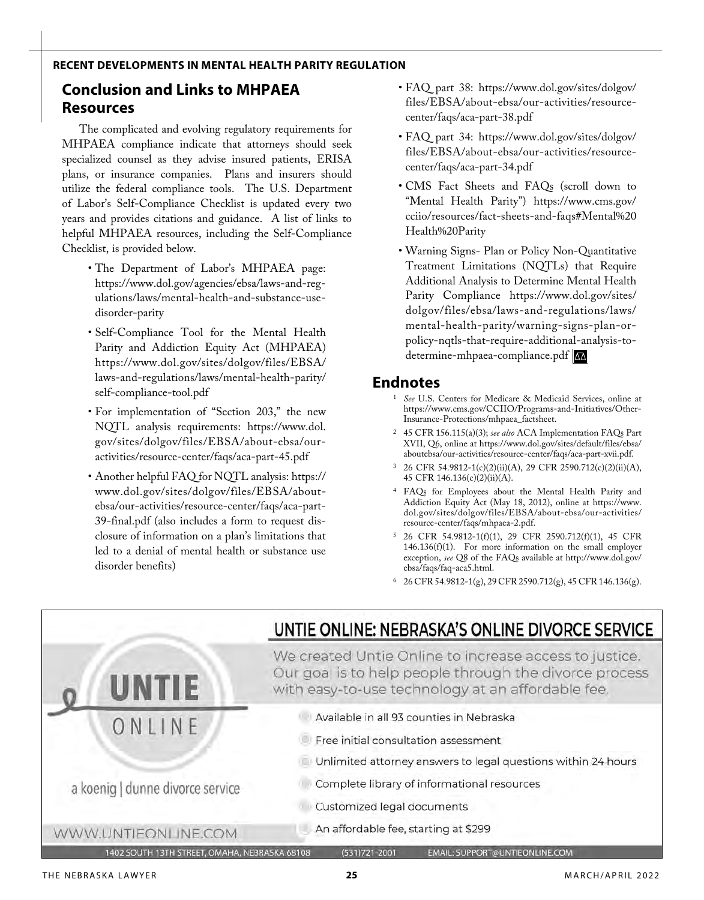# **Conclusion and Links to MHPAEA Resources**

The complicated and evolving regulatory requirements for MHPAEA compliance indicate that attorneys should seek specialized counsel as they advise insured patients, ERISA plans, or insurance companies. Plans and insurers should utilize the federal compliance tools. The U.S. Department of Labor's Self-Compliance Checklist is updated every two years and provides citations and guidance. A list of links to helpful MHPAEA resources, including the Self-Compliance Checklist, is provided below.

- The Department of Labor's MHPAEA page: https://www.dol.gov/agencies/ebsa/laws-and-regulations/laws/mental-health-and-substance-usedisorder-parity
- Self-Compliance Tool for the Mental Health Parity and Addiction Equity Act (MHPAEA) https://www.dol.gov/sites/dolgov/files/EBSA/ laws-and-regulations/laws/mental-health-parity/ self-compliance-tool.pdf
- For implementation of "Section 203," the new NQTL analysis requirements: https://www.dol. gov/sites/dolgov/files/EBSA/about-ebsa/ouractivities/resource-center/faqs/aca-part-45.pdf
- Another helpful FAQ for NQTL analysis: https:// www.dol.gov/sites/dolgov/files/EBSA/aboutebsa/our-activities/resource-center/faqs/aca-part-39-final.pdf (also includes a form to request disclosure of information on a plan's limitations that led to a denial of mental health or substance use disorder benefits)
- FAQ part 38: https://www.dol.gov/sites/dolgov/ files/EBSA/about-ebsa/our-activities/resourcecenter/faqs/aca-part-38.pdf
- FAQ part 34: https://www.dol.gov/sites/dolgov/ files/EBSA/about-ebsa/our-activities/resourcecenter/faqs/aca-part-34.pdf
- CMS Fact Sheets and FAQs (scroll down to "Mental Health Parity") https://www.cms.gov/ cciio/resources/fact-sheets-and-faqs#Mental%20 Health%20Parity
- Warning Signs- Plan or Policy Non-Quantitative Treatment Limitations (NQTLs) that Require Additional Analysis to Determine Mental Health Parity Compliance https://www.dol.gov/sites/ dolgov/files/ebsa/laws-and-regulations/laws/ mental-health-parity/warning-signs-plan-orpolicy-nqtls-that-require-additional-analysis-todetermine-mhpaea-compliance.pdf

#### **Endnotes**

- <sup>1</sup> *See* U.S. Centers for Medicare & Medicaid Services, online at https://www.cms.gov/CCIIO/Programs-and-Initiatives/Other-Insurance-Protections/mhpaea\_factsheet.
- <sup>2</sup> 45 CFR 156.115(a)(3); *see also* ACA Implementation FAQs Part XVII, Q6, online at https://www.dol.gov/sites/default/files/ebsa/ aboutebsa/our-activities/resource-center/faqs/aca-part-xvii.pdf.
- <sup>3</sup> 26 CFR 54.9812-1(c)(2)(ii)(A), 29 CFR 2590.712(c)(2)(ii)(A), 45 CFR 146.136(c)(2)(ii)(A).
- <sup>4</sup> FAQs for Employees about the Mental Health Parity and Addiction Equity Act (May 18, 2012), online at https://www. dol.gov/sites/dolgov/files/EBSA/about-ebsa/our-activities/ resource-center/faqs/mhpaea-2.pdf.
- <sup>5</sup> 26 CFR 54.9812-1(f)(1), 29 CFR 2590.712(f)(1), 45 CFR 146.136(f)(1). For more information on the small employer exception, *see* Q8 of the FAQs available at http://www.dol.gov/ ebsa/faqs/faq-aca5.html.
- <sup>6</sup> 26 CFR 54.9812-1(g), 29 CFR 2590.712(g), 45 CFR 146.136(g).